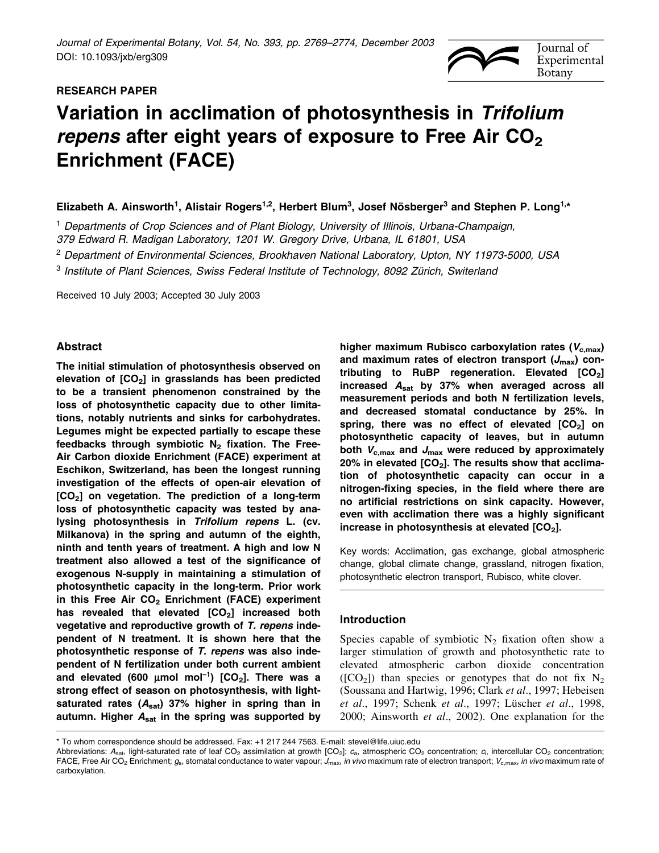# RESEARCH PAPER



# Variation in acclimation of photosynthesis in Trifolium repens after eight years of exposure to Free Air  $CO<sub>2</sub>$ Enrichment (FACE)

Elizabeth A. Ainsworth<sup>1</sup>, Alistair Rogers<sup>1,2</sup>, Herbert Blum<sup>3</sup>, Josef Nösberger<sup>3</sup> and Stephen P. Long<sup>1,\*</sup>

<sup>1</sup> Departments of Crop Sciences and of Plant Biology, University of Illinois, Urbana-Champaign, 379 Edward R. Madigan Laboratory, 1201 W. Gregory Drive, Urbana, IL 61801, USA

<sup>2</sup> Department of Environmental Sciences, Brookhaven National Laboratory, Upton, NY 11973-5000, USA

 $3$  Institute of Plant Sciences, Swiss Federal Institute of Technology, 8092 Zürich, Switerland

Received 10 July 2003; Accepted 30 July 2003

## Abstract

The initial stimulation of photosynthesis observed on elevation of  $[CO<sub>2</sub>]$  in grasslands has been predicted to be a transient phenomenon constrained by the loss of photosynthetic capacity due to other limitations, notably nutrients and sinks for carbohydrates. Legumes might be expected partially to escape these feedbacks through symbiotic  $N_2$  fixation. The Free-Air Carbon dioxide Enrichment (FACE) experiment at Eschikon, Switzerland, has been the longest running investigation of the effects of open-air elevation of  $[CO<sub>2</sub>]$  on vegetation. The prediction of a long-term loss of photosynthetic capacity was tested by analysing photosynthesis in Trifolium repens L. (cv. Milkanova) in the spring and autumn of the eighth, ninth and tenth years of treatment. A high and low N treatment also allowed a test of the significance of exogenous N-supply in maintaining a stimulation of photosynthetic capacity in the long-term. Prior work in this Free Air  $CO<sub>2</sub>$  Enrichment (FACE) experiment has revealed that elevated  $[CO<sub>2</sub>]$  increased both vegetative and reproductive growth of T. repens independent of N treatment. It is shown here that the photosynthetic response of T. repens was also independent of N fertilization under both current ambient and elevated (600  $\mu$ mol mol<sup>-1</sup>) [CO<sub>2</sub>]. There was a strong effect of season on photosynthesis, with lightsaturated rates  $(A<sub>sat</sub>)$  37% higher in spring than in autumn. Higher  $A<sub>sat</sub>$  in the spring was supported by

higher maximum Rubisco carboxylation rates ( $V_{c,max}$ ) and maximum rates of electron transport  $(J_{\text{max}})$  contributing to RuBP regeneration. Elevated  $[CO<sub>2</sub>]$ increased  $A_{sat}$  by 37% when averaged across all measurement periods and both N fertilization levels, and decreased stomatal conductance by 25%. In spring, there was no effect of elevated  $[CO<sub>2</sub>]$  on photosynthetic capacity of leaves, but in autumn both  $V_{c,max}$  and  $J_{max}$  were reduced by approximately 20% in elevated  $[CO<sub>2</sub>]$ . The results show that acclimation of photosynthetic capacity can occur in a nitrogen-fixing species, in the field where there are no artificial restrictions on sink capacity. However, even with acclimation there was a highly significant increase in photosynthesis at elevated  $[CO<sub>2</sub>]$ .

Key words: Acclimation, gas exchange, global atmospheric change, global climate change, grassland, nitrogen fixation, photosynthetic electron transport, Rubisco, white clover.

## Introduction

Species capable of symbiotic  $N_2$  fixation often show a larger stimulation of growth and photosynthetic rate to elevated atmospheric carbon dioxide concentration ( $[CO<sub>2</sub>]$ ) than species or genotypes that do not fix N<sub>2</sub> (Soussana and Hartwig, 1996; Clark et al., 1997; Hebeisen et al., 1997; Schenk et al., 1997; Lüscher et al., 1998, 2000; Ainsworth et al., 2002). One explanation for the

<sup>\*</sup> To whom correspondence should be addressed. Fax: +1 217 244 7563. E-mail: stevel@life.uiuc.edu

Abbreviations: A<sub>sat</sub>, light-saturated rate of leaf CO<sub>2</sub> assimilation at growth [CO<sub>2</sub>];  $c_{\rm a}$ , atmospheric CO<sub>2</sub> concentration;  $c_{\rm i}$ , intercellular CO<sub>2</sub> concentration; FACE, Free Air CO<sub>2</sub> Enrichment;  $g_s$ , stomatal conductance to water vapour; J<sub>max</sub>, in vivo maximum rate of electron transport; V<sub>c,max</sub>, in vivo maximum rate of carboxylation.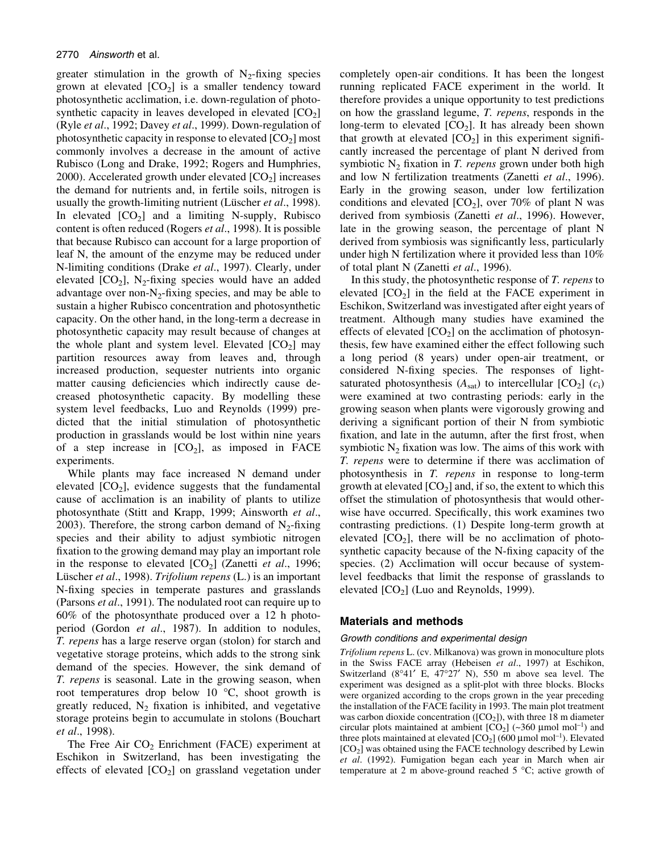greater stimulation in the growth of  $N_2$ -fixing species grown at elevated  $[CO<sub>2</sub>]$  is a smaller tendency toward photosynthetic acclimation, i.e. down-regulation of photosynthetic capacity in leaves developed in elevated  $[CO<sub>2</sub>]$ (Ryle *et al.*, 1992; Davey *et al.*, 1999). Down-regulation of photosynthetic capacity in response to elevated  $[CO<sub>2</sub>]$  most commonly involves a decrease in the amount of active Rubisco (Long and Drake, 1992; Rogers and Humphries, 2000). Accelerated growth under elevated  $[CO<sub>2</sub>]$  increases the demand for nutrients and, in fertile soils, nitrogen is usually the growth-limiting nutrient (Lüscher et al., 1998). In elevated  $[CO_2]$  and a limiting N-supply, Rubisco content is often reduced (Rogers et al., 1998). It is possible that because Rubisco can account for a large proportion of leaf N, the amount of the enzyme may be reduced under N-limiting conditions (Drake et al., 1997). Clearly, under elevated  $[CO_2]$ , N<sub>2</sub>-fixing species would have an added advantage over non- $N_2$ -fixing species, and may be able to sustain a higher Rubisco concentration and photosynthetic capacity. On the other hand, in the long-term a decrease in photosynthetic capacity may result because of changes at the whole plant and system level. Elevated  $[CO<sub>2</sub>]$  may partition resources away from leaves and, through increased production, sequester nutrients into organic matter causing deficiencies which indirectly cause decreased photosynthetic capacity. By modelling these system level feedbacks, Luo and Reynolds (1999) predicted that the initial stimulation of photosynthetic production in grasslands would be lost within nine years of a step increase in  $[CO_2]$ , as imposed in FACE experiments.

While plants may face increased N demand under elevated  $[CO<sub>2</sub>]$ , evidence suggests that the fundamental cause of acclimation is an inability of plants to utilize photosynthate (Stitt and Krapp, 1999; Ainsworth et al., 2003). Therefore, the strong carbon demand of  $N<sub>2</sub>$ -fixing species and their ability to adjust symbiotic nitrogen fixation to the growing demand may play an important role in the response to elevated  $[CO_2]$  (Zanetti *et al.*, 1996; Lüscher et al., 1998). Trifolium repens (L.) is an important N-fixing species in temperate pastures and grasslands (Parsons et al., 1991). The nodulated root can require up to 60% of the photosynthate produced over a 12 h photoperiod (Gordon et al., 1987). In addition to nodules, T. repens has a large reserve organ (stolon) for starch and vegetative storage proteins, which adds to the strong sink demand of the species. However, the sink demand of T. repens is seasonal. Late in the growing season, when root temperatures drop below 10 °C, shoot growth is greatly reduced,  $N_2$  fixation is inhibited, and vegetative storage proteins begin to accumulate in stolons (Bouchart et al., 1998).

The Free Air  $CO<sub>2</sub>$  Enrichment (FACE) experiment at Eschikon in Switzerland, has been investigating the effects of elevated  $[CO<sub>2</sub>]$  on grassland vegetation under completely open-air conditions. It has been the longest running replicated FACE experiment in the world. It therefore provides a unique opportunity to test predictions on how the grassland legume, T. repens, responds in the long-term to elevated  $[CO<sub>2</sub>]$ . It has already been shown that growth at elevated  $[CO_2]$  in this experiment significantly increased the percentage of plant N derived from symbiotic  $N_2$  fixation in T. repens grown under both high and low N fertilization treatments (Zanetti et al., 1996). Early in the growing season, under low fertilization conditions and elevated  $[CO_2]$ , over 70% of plant N was derived from symbiosis (Zanetti et al., 1996). However, late in the growing season, the percentage of plant N derived from symbiosis was significantly less, particularly under high N fertilization where it provided less than 10% of total plant N (Zanetti et al., 1996).

In this study, the photosynthetic response of T. repens to elevated  $[CO<sub>2</sub>]$  in the field at the FACE experiment in Eschikon, Switzerland was investigated after eight years of treatment. Although many studies have examined the effects of elevated  $[CO<sub>2</sub>]$  on the acclimation of photosynthesis, few have examined either the effect following such a long period (8 years) under open-air treatment, or considered N-fixing species. The responses of lightsaturated photosynthesis  $(A<sub>sat</sub>)$  to intercellular  $[CO<sub>2</sub>]$   $(c<sub>i</sub>)$ were examined at two contrasting periods: early in the growing season when plants were vigorously growing and deriving a significant portion of their N from symbiotic fixation, and late in the autumn, after the first frost, when symbiotic  $N_2$  fixation was low. The aims of this work with T. repens were to determine if there was acclimation of photosynthesis in T. repens in response to long-term growth at elevated  $[CO_2]$  and, if so, the extent to which this offset the stimulation of photosynthesis that would otherwise have occurred. Specifically, this work examines two contrasting predictions. (1) Despite long-term growth at elevated  $[CO_2]$ , there will be no acclimation of photosynthetic capacity because of the N-fixing capacity of the species. (2) Acclimation will occur because of systemlevel feedbacks that limit the response of grasslands to elevated  $[CO<sub>2</sub>]$  (Luo and Reynolds, 1999).

## Materials and methods

#### Growth conditions and experimental design

Trifolium repens L. (cv. Milkanova) was grown in monoculture plots in the Swiss FACE array (Hebeisen et al., 1997) at Eschikon, Switzerland  $(8^{\circ}41'$  E,  $47^{\circ}27'$  N), 550 m above sea level. The experiment was designed as a split-plot with three blocks. Blocks were organized according to the crops grown in the year preceding the installation of the FACE facility in 1993. The main plot treatment was carbon dioxide concentration ( $[CO<sub>2</sub>]$ ), with three 18 m diameter circular plots maintained at ambient  $[CO_2]$  (~360 µmol mol<sup>-1</sup>) and three plots maintained at elevated  $[CO_2]$  (600 µmol mol<sup>-1</sup>). Elevated  $[CO<sub>2</sub>]$  was obtained using the FACE technology described by Lewin et al. (1992). Fumigation began each year in March when air temperature at 2 m above-ground reached 5 °C; active growth of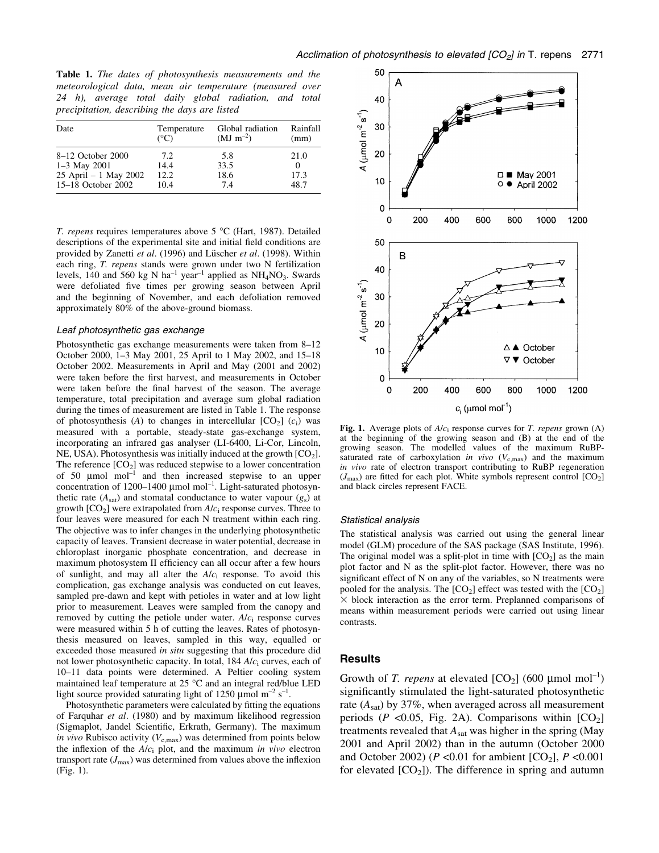Table 1. The dates of photosynthesis measurements and the meteorological data, mean air temperature (measured over 24 h), average total daily global radiation, and total precipitation, describing the days are listed

| Date                  | Temperature   | Global radiation | Rainfall |
|-----------------------|---------------|------------------|----------|
|                       | $(^{\circ}C)$ | $(MJ \, m^{-2})$ | (mm)     |
| 8-12 October 2000     | 7.2           | 5.8              | 21.0     |
| $1-3$ May 2001        | 14.4          | 33.5             | $\theta$ |
| 25 April - 1 May 2002 | 12.2          | 18.6             | 17.3     |
| 15-18 October 2002    | 10.4          | 7.4              | 48.7     |

T. repens requires temperatures above 5 °C (Hart, 1987). Detailed descriptions of the experimental site and initial field conditions are provided by Zanetti et al. (1996) and Lüscher et al. (1998). Within each ring, T. repens stands were grown under two N fertilization levels, 140 and 560 kg N ha<sup>-1</sup> year<sup>-1</sup> applied as  $NH<sub>4</sub>NO<sub>3</sub>$ . Swards were defoliated five times per growing season between April and the beginning of November, and each defoliation removed approximately 80% of the above-ground biomass.

#### Leaf photosynthetic gas exchange

Photosynthetic gas exchange measurements were taken from 8-12 October 2000, 1-3 May 2001, 25 April to 1 May 2002, and 15-18 October 2002. Measurements in April and May (2001 and 2002) were taken before the first harvest, and measurements in October were taken before the final harvest of the season. The average temperature, total precipitation and average sum global radiation during the times of measurement are listed in Table 1. The response of photosynthesis (A) to changes in intercellular  $[CO_2]$  ( $c_i$ ) was measured with a portable, steady-state gas-exchange system, incorporating an infrared gas analyser (LI-6400, Li-Cor, Lincoln, NE, USA). Photosynthesis was initially induced at the growth  $[CO<sub>2</sub>]$ . The reference  $[CO_2]$  was reduced stepwise to a lower concentration of 50  $\mu$ mol mol<sup>-1</sup> and then increased stepwise to an upper concentration of 1200-1400  $\mu$ mol mol<sup>-1</sup>. Light-saturated photosynthetic rate  $(A<sub>sat</sub>)$  and stomatal conductance to water vapour  $(g<sub>s</sub>)$  at growth  $[CO_2]$  were extrapolated from  $A/c$  response curves. Three to four leaves were measured for each N treatment within each ring. The objective was to infer changes in the underlying photosynthetic capacity of leaves. Transient decrease in water potential, decrease in chloroplast inorganic phosphate concentration, and decrease in maximum photosystem II efficiency can all occur after a few hours of sunlight, and may all alter the  $A/c<sub>i</sub>$  response. To avoid this complication, gas exchange analysis was conducted on cut leaves, sampled pre-dawn and kept with petioles in water and at low light prior to measurement. Leaves were sampled from the canopy and removed by cutting the petiole under water.  $A/c<sub>i</sub>$  response curves were measured within 5 h of cutting the leaves. Rates of photosynthesis measured on leaves, sampled in this way, equalled or exceeded those measured in situ suggesting that this procedure did not lower photosynthetic capacity. In total,  $184 A/c<sub>i</sub>$  curves, each of 10±11 data points were determined. A Peltier cooling system maintained leaf temperature at 25 °C and an integral red/blue LED light source provided saturating light of 1250 µmol  $m^{-2}$  s<sup>-1</sup>.

Photosynthetic parameters were calculated by fitting the equations of Farquhar et al. (1980) and by maximum likelihood regression (Sigmaplot, Jandel Scientific, Erkrath, Germany). The maximum in vivo Rubisco activity ( $V_{c,\text{max}}$ ) was determined from points below the inflexion of the  $A/c<sub>i</sub>$  plot, and the maximum in vivo electron transport rate  $(J_{\text{max}})$  was determined from values above the inflexion (Fig. 1).



Fig. 1. Average plots of  $A/c<sub>i</sub>$  response curves for T. repens grown (A) at the beginning of the growing season and (B) at the end of the growing season. The modelled values of the maximum RuBPsaturated rate of carboxylation in vivo  $(V_{c,\text{max}})$  and the maximum in vivo rate of electron transport contributing to RuBP regeneration  $(J_{\text{max}})$  are fitted for each plot. White symbols represent control  $[CO_2]$ and black circles represent FACE.

#### Statistical analysis

The statistical analysis was carried out using the general linear model (GLM) procedure of the SAS package (SAS Institute, 1996). The original model was a split-plot in time with  $[CO<sub>2</sub>]$  as the main plot factor and N as the split-plot factor. However, there was no significant effect of N on any of the variables, so N treatments were pooled for the analysis. The  $[CO_2]$  effect was tested with the  $[CO_2]$  $\times$  block interaction as the error term. Preplanned comparisons of means within measurement periods were carried out using linear contrasts.

## Results

Growth of T. repens at elevated  $[CO_2]$  (600 µmol mol<sup>-1</sup>) significantly stimulated the light-saturated photosynthetic rate  $(A<sub>sat</sub>)$  by 37%, when averaged across all measurement periods ( $P \le 0.05$ , Fig. 2A). Comparisons within  $[CO_2]$ treatments revealed that  $A<sub>sat</sub>$  was higher in the spring (May 2001 and April 2002) than in the autumn (October 2000 and October 2002) ( $P < 0.01$  for ambient  $[CO_2]$ ,  $P < 0.001$ for elevated  $[CO<sub>2</sub>]$ ). The difference in spring and autumn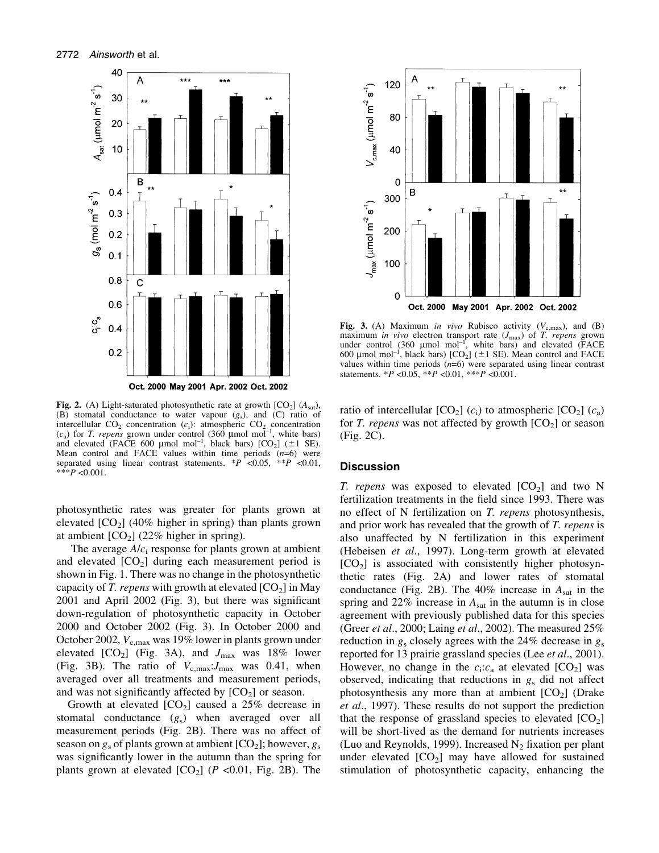

Fig. 2. (A) Light-saturated photosynthetic rate at growth  $[CO<sub>2</sub>]$  ( $A<sub>sat</sub>$ ), (B) stomatal conductance to water vapour  $(g_s)$ , and  $(C)$  ratio of intercellular  $CO<sub>2</sub>$  concentration ( $c<sub>i</sub>$ ): atmospheric  $CO<sub>2</sub>$  concentration  $(c_a)$  for *T. repens* grown under control (360 µmol mol<sup>-1</sup>, white bars) and elevated (FACE 600 µmol mol<sup>-1</sup>, black bars)  $[CO<sub>2</sub>]$  ( $\pm$ 1 SE). Mean control and FACE values within time periods  $(n=6)$  were separated using linear contrast statements. \* $\overline{P}$  <0.05, \*\* $\overline{P}$  <0.01, \*\*\*P < 0.001.

photosynthetic rates was greater for plants grown at elevated  $[CO<sub>2</sub>]$  (40% higher in spring) than plants grown at ambient  $[CO<sub>2</sub>]$  (22% higher in spring).

The average  $A/c<sub>i</sub>$  response for plants grown at ambient and elevated  $[CO<sub>2</sub>]$  during each measurement period is shown in Fig. 1. There was no change in the photosynthetic capacity of T. repens with growth at elevated  $[CO_2]$  in May  $2001$  and April  $2002$  (Fig. 3), but there was significant down-regulation of photosynthetic capacity in October 2000 and October 2002 (Fig. 3). In October 2000 and October 2002,  $V_{c,max}$  was 19% lower in plants grown under elevated  $[CO_2]$  (Fig. 3A), and  $J_{\text{max}}$  was 18% lower (Fig. 3B). The ratio of  $V_{\text{c,max}}$ :  $J_{\text{max}}$  was 0.41, when averaged over all treatments and measurement periods, and was not significantly affected by  $[CO<sub>2</sub>]$  or season.

Growth at elevated  $[CO_2]$  caused a 25% decrease in stomatal conductance  $(g_s)$  when averaged over all measurement periods (Fig. 2B). There was no affect of season on  $g_s$  of plants grown at ambient  $[CO_2]$ ; however,  $g_s$ was significantly lower in the autumn than the spring for plants grown at elevated  $[CO_2]$  ( $P$  <0.01, Fig. 2B). The



Fig. 3. (A) Maximum in vivo Rubisco activity ( $V_{c,\text{max}}$ ), and (B) maximum in vivo electron transport rate  $(J_{\text{max}})$  of T. repens grown under control  $(360 \text{ µmol mol}^{-1})$ , white bars) and elevated (FACE 600 µmol mol<sup>-1</sup>, black bars)  $[CO_2]$  ( $\pm$ 1 SE). Mean control and FACE values within time periods  $(n=6)$  were separated using linear contrast statements. \*P < 0.05, \*\*P < 0.01, \*\*\*P < 0.001.

ratio of intercellular  $[CO_2]$  (c<sub>i</sub>) to atmospheric  $[CO_2]$  (c<sub>a</sub>) for T. repens was not affected by growth  $[CO<sub>2</sub>]$  or season (Fig. 2C).

## **Discussion**

T. repens was exposed to elevated  $[CO<sub>2</sub>]$  and two N fertilization treatments in the field since 1993. There was no effect of N fertilization on T. repens photosynthesis, and prior work has revealed that the growth of T. repens is also unaffected by N fertilization in this experiment (Hebeisen et al., 1997). Long-term growth at elevated  $[CO<sub>2</sub>]$  is associated with consistently higher photosynthetic rates (Fig. 2A) and lower rates of stomatal conductance (Fig. 2B). The  $40\%$  increase in  $A<sub>sat</sub>$  in the spring and 22% increase in  $A<sub>sat</sub>$  in the autumn is in close agreement with previously published data for this species (Greer *et al.*, 2000; Laing *et al.*, 2002). The measured 25% reduction in  $g_s$  closely agrees with the 24% decrease in  $g_s$ reported for 13 prairie grassland species (Lee *et al.*, 2001). However, no change in the  $c_i$ :  $c_a$  at elevated  $[CO_2]$  was observed, indicating that reductions in  $g_s$  did not affect photosynthesis any more than at ambient  $[CO<sub>2</sub>]$  (Drake et al., 1997). These results do not support the prediction that the response of grassland species to elevated  $[CO_2]$ will be short-lived as the demand for nutrients increases (Luo and Reynolds, 1999). Increased  $N_2$  fixation per plant under elevated  $[CO<sub>2</sub>]$  may have allowed for sustained stimulation of photosynthetic capacity, enhancing the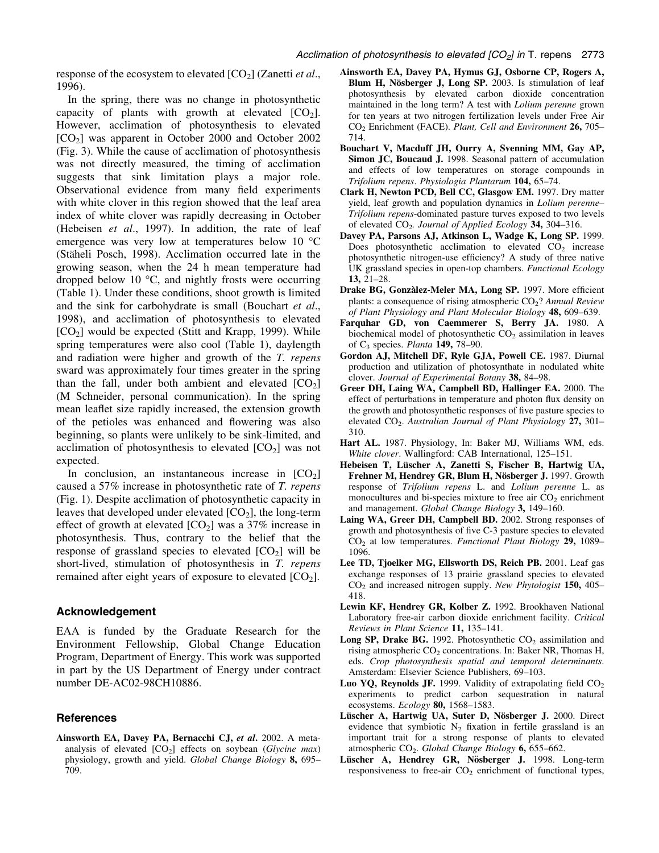response of the ecosystem to elevated  $[CO<sub>2</sub>]$  (Zanetti *et al.*, 1996).

In the spring, there was no change in photosynthetic capacity of plants with growth at elevated  $[CO<sub>2</sub>]$ . However, acclimation of photosynthesis to elevated  $[CO<sub>2</sub>]$  was apparent in October 2000 and October 2002 (Fig. 3). While the cause of acclimation of photosynthesis was not directly measured, the timing of acclimation suggests that sink limitation plays a major role. Observational evidence from many field experiments with white clover in this region showed that the leaf area index of white clover was rapidly decreasing in October (Hebeisen et al., 1997). In addition, the rate of leaf emergence was very low at temperatures below 10 °C (Stäheli Posch, 1998). Acclimation occurred late in the growing season, when the 24 h mean temperature had dropped below 10 °C, and nightly frosts were occurring (Table 1). Under these conditions, shoot growth is limited and the sink for carbohydrate is small (Bouchart et al., 1998), and acclimation of photosynthesis to elevated  $[CO<sub>2</sub>]$  would be expected (Stitt and Krapp, 1999). While spring temperatures were also cool (Table 1), daylength and radiation were higher and growth of the T. repens sward was approximately four times greater in the spring than the fall, under both ambient and elevated  $[CO<sub>2</sub>]$ (M Schneider, personal communication). In the spring mean leaflet size rapidly increased, the extension growth of the petioles was enhanced and flowering was also beginning, so plants were unlikely to be sink-limited, and acclimation of photosynthesis to elevated  $[CO<sub>2</sub>]$  was not expected.

In conclusion, an instantaneous increase in  $[CO<sub>2</sub>]$ caused a 57% increase in photosynthetic rate of T. repens (Fig. 1). Despite acclimation of photosynthetic capacity in leaves that developed under elevated  $[CO<sub>2</sub>]$ , the long-term effect of growth at elevated  $[CO<sub>2</sub>]$  was a 37% increase in photosynthesis. Thus, contrary to the belief that the response of grassland species to elevated  $[CO<sub>2</sub>]$  will be short-lived, stimulation of photosynthesis in T. repens remained after eight years of exposure to elevated  $[CO<sub>2</sub>]$ .

## Acknowledgement

EAA is funded by the Graduate Research for the Environment Fellowship, Global Change Education Program, Department of Energy. This work was supported in part by the US Department of Energy under contract number DE-AC02-98CH10886.

## **References**

Ainsworth EA, Davey PA, Bernacchi CJ, et al. 2002. A metaanalysis of elevated  $[CO_2]$  effects on soybean (*Glycine max*) physiology, growth and yield. Global Change Biology 8, 695-709.

- Ainsworth EA, Davey PA, Hymus GJ, Osborne CP, Rogers A, Blum H, Nösberger J, Long SP. 2003. Is stimulation of leaf photosynthesis by elevated carbon dioxide concentration maintained in the long term? A test with Lolium perenne grown for ten years at two nitrogen fertilization levels under Free Air CO<sub>2</sub> Enrichment (FACE). Plant, Cell and Environment 26, 705-714.
- Bouchart V, Macduff JH, Ourry A, Svenning MM, Gay AP, Simon JC, Boucaud J. 1998. Seasonal pattern of accumulation and effects of low temperatures on storage compounds in Trifolium repens. Physiologia Plantarum 104, 65-74.
- Clark H, Newton PCD, Bell CC, Glasgow EM. 1997. Dry matter yield, leaf growth and population dynamics in *Lolium perenne*-Trifolium repens-dominated pasture turves exposed to two levels of elevated  $CO<sub>2</sub>$ . Journal of Applied Ecology 34, 304-316.
- Davey PA, Parsons AJ, Atkinson L, Wadge K, Long SP. 1999. Does photosynthetic acclimation to elevated  $CO<sub>2</sub>$  increase photosynthetic nitrogen-use efficiency? A study of three native UK grassland species in open-top chambers. Functional Ecology  $13.21 - 28.$
- Drake BG, Gonzàlez-Meler MA, Long SP. 1997. More efficient plants: a consequence of rising atmospheric  $CO<sub>2</sub>$ ? Annual Review of Plant Physiology and Plant Molecular Biology 48, 609-639.
- Farquhar GD, von Caemmerer S, Berry JA. 1980. A biochemical model of photosynthetic  $CO<sub>2</sub>$  assimilation in leaves of  $C_3$  species. *Planta* 149, 78–90.
- Gordon AJ, Mitchell DF, Ryle GJA, Powell CE. 1987. Diurnal production and utilization of photosynthate in nodulated white clover. Journal of Experimental Botany 38, 84-98.
- Greer DH, Laing WA, Campbell BD, Hallinger EA. 2000. The effect of perturbations in temperature and photon flux density on the growth and photosynthetic responses of five pasture species to elevated  $CO<sub>2</sub>$ . Australian Journal of Plant Physiology 27, 301– 310.
- Hart AL. 1987. Physiology, In: Baker MJ, Williams WM, eds. White clover. Wallingford: CAB International, 125-151.
- Hebeisen T, Lüscher A, Zanetti S, Fischer B, Hartwig UA, Frehner M, Hendrey GR, Blum H, Nösberger J. 1997. Growth response of Trifolium repens L. and Lolium perenne L. as monocultures and bi-species mixture to free air  $CO<sub>2</sub>$  enrichment and management. Global Change Biology 3, 149-160.
- Laing WA, Greer DH, Campbell BD. 2002. Strong responses of growth and photosynthesis of five C-3 pasture species to elevated  $CO<sub>2</sub>$  at low temperatures. Functional Plant Biology 29, 1089– 1096.
- Lee TD, Tjoelker MG, Ellsworth DS, Reich PB. 2001. Leaf gas exchange responses of 13 prairie grassland species to elevated  $CO<sub>2</sub>$  and increased nitrogen supply. New Phytologist 150, 405 $-$ 418.
- Lewin KF, Hendrey GR, Kolber Z. 1992. Brookhaven National Laboratory free-air carbon dioxide enrichment facility. Critical Reviews in Plant Science 11, 135-141.
- **Long SP, Drake BG.** 1992. Photosynthetic  $CO<sub>2</sub>$  assimilation and rising atmospheric  $CO<sub>2</sub>$  concentrations. In: Baker NR, Thomas H, eds. Crop photosynthesis spatial and temporal determinants. Amsterdam: Elsevier Science Publishers, 69-103.
- Luo YQ, Reynolds JF. 1999. Validity of extrapolating field  $CO<sub>2</sub>$ experiments to predict carbon sequestration in natural ecosystems.  $Ecology$  80, 1568-1583.
- Lüscher A, Hartwig UA, Suter D, Nösberger J. 2000. Direct evidence that symbiotic  $N_2$  fixation in fertile grassland is an important trait for a strong response of plants to elevated atmospheric  $CO<sub>2</sub>$ . Global Change Biology 6, 655-662.
- Lüscher A, Hendrey GR, Nösberger J. 1998. Long-term responsiveness to free-air  $CO<sub>2</sub>$  enrichment of functional types,